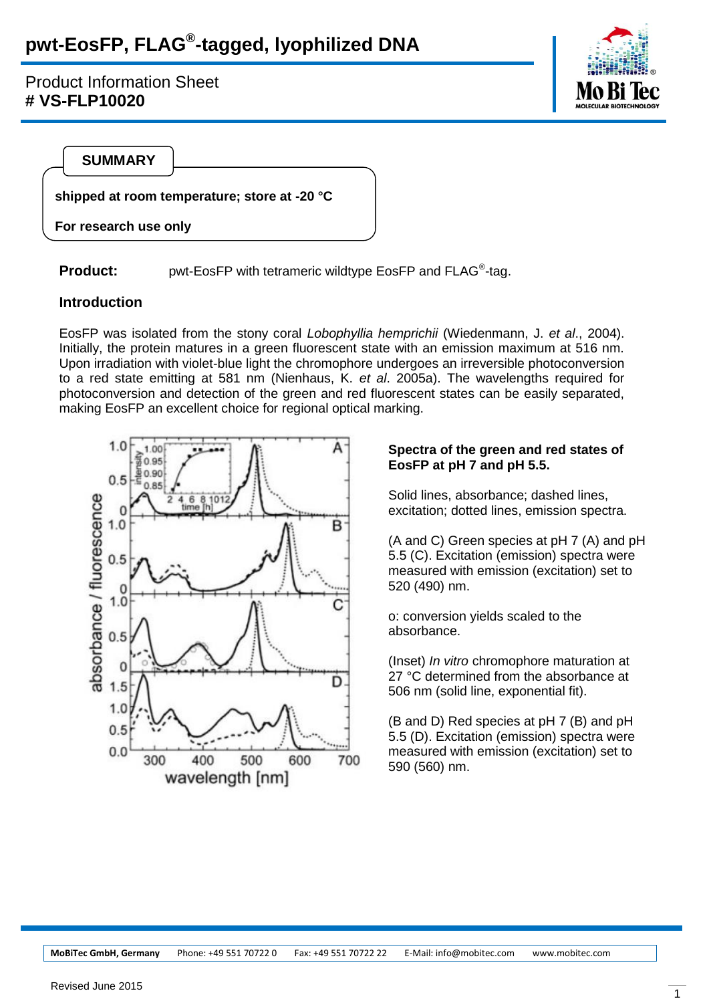# **pwt-EosFP, FLAG® -tagged, lyophilized DNA**

Product Information Sheet **# VS-FLP10020**



**SUMMARY**

**shipped at room temperature; store at -20 °C**

**For research use only**

**Product:** pwt-EosFP with tetrameric wildtype EosFP and FLAG<sup>®</sup>-tag.

#### **Introduction**

EosFP was isolated from the stony coral *Lobophyllia hemprichii* (Wiedenmann, J. *et al*., 2004). Initially, the protein matures in a green fluorescent state with an emission maximum at 516 nm. Upon irradiation with violet-blue light the chromophore undergoes an irreversible photoconversion to a red state emitting at 581 nm (Nienhaus, K. *et al*. 2005a). The wavelengths required for photoconversion and detection of the green and red fluorescent states can be easily separated, making EosFP an excellent choice for regional optical marking.



#### **Spectra of the green and red states of EosFP at pH 7 and pH 5.5.**

Solid lines, absorbance; dashed lines, excitation; dotted lines, emission spectra.

(A and C) Green species at pH 7 (A) and pH 5.5 (C). Excitation (emission) spectra were measured with emission (excitation) set to 520 (490) nm.

o: conversion yields scaled to the absorbance.

(Inset) *In vitro* chromophore maturation at 27 °C determined from the absorbance at 506 nm (solid line, exponential fit).

(B and D) Red species at pH 7 (B) and pH 5.5 (D). Excitation (emission) spectra were measured with emission (excitation) set to 590 (560) nm.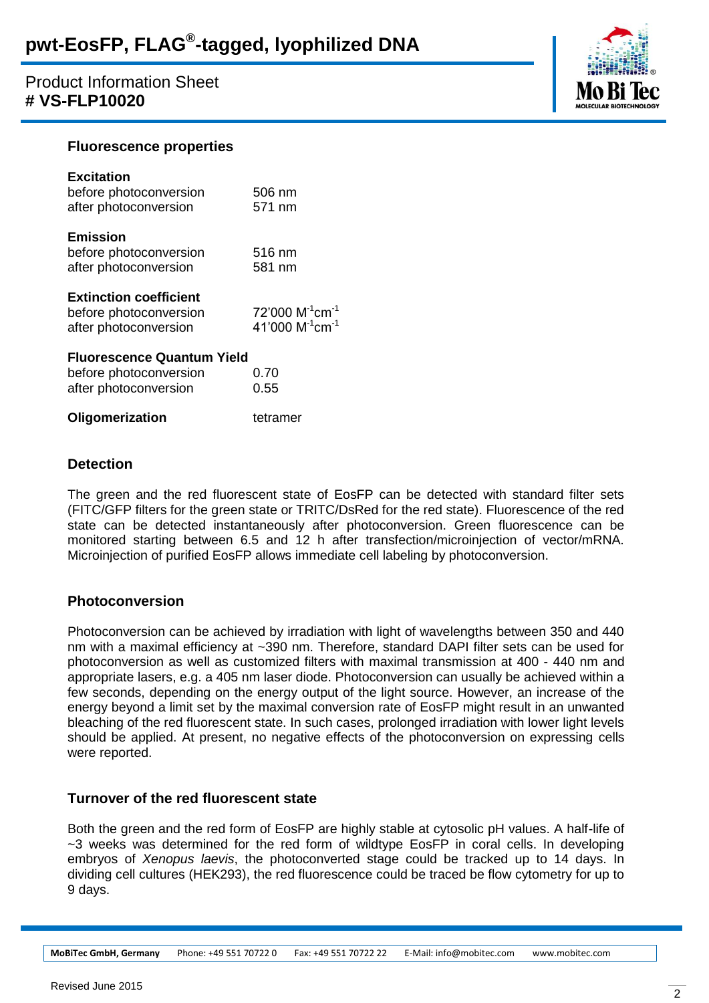# Product Information Sheet **# VS-FLP10020**



#### **Fluorescence properties**

| <b>Excitation</b><br>before photoconversion<br>after photoconversion                                 | 506 nm<br>571 nm                                                            |  |
|------------------------------------------------------------------------------------------------------|-----------------------------------------------------------------------------|--|
| <b>Emission</b><br>before photoconversion<br>after photoconversion                                   | 516 nm<br>581 nm                                                            |  |
| <b>Extinction coefficient</b><br>before photoconversion<br>after photoconversion                     | 72'000 M <sup>-1</sup> cm <sup>-1</sup><br>41'000 $M^{-1}$ cm <sup>-1</sup> |  |
| <b>Fluorescence Quantum Yield</b><br>before photoconversion<br>0.70<br>after photoconversion<br>0.55 |                                                                             |  |
| Oligomerization                                                                                      | tetramer                                                                    |  |

### **Detection**

The green and the red fluorescent state of EosFP can be detected with standard filter sets (FITC/GFP filters for the green state or TRITC/DsRed for the red state). Fluorescence of the red state can be detected instantaneously after photoconversion. Green fluorescence can be monitored starting between 6.5 and 12 h after transfection/microinjection of vector/mRNA. Microinjection of purified EosFP allows immediate cell labeling by photoconversion.

# **Photoconversion**

Photoconversion can be achieved by irradiation with light of wavelengths between 350 and 440 nm with a maximal efficiency at ~390 nm. Therefore, standard DAPI filter sets can be used for photoconversion as well as customized filters with maximal transmission at 400 - 440 nm and appropriate lasers, e.g. a 405 nm laser diode. Photoconversion can usually be achieved within a few seconds, depending on the energy output of the light source. However, an increase of the energy beyond a limit set by the maximal conversion rate of EosFP might result in an unwanted bleaching of the red fluorescent state. In such cases, prolonged irradiation with lower light levels should be applied. At present, no negative effects of the photoconversion on expressing cells were reported.

# **Turnover of the red fluorescent state**

Both the green and the red form of EosFP are highly stable at cytosolic pH values. A half-life of ~3 weeks was determined for the red form of wildtype EosFP in coral cells. In developing embryos of *Xenopus laevis*, the photoconverted stage could be tracked up to 14 days. In dividing cell cultures (HEK293), the red fluorescence could be traced be flow cytometry for up to 9 days.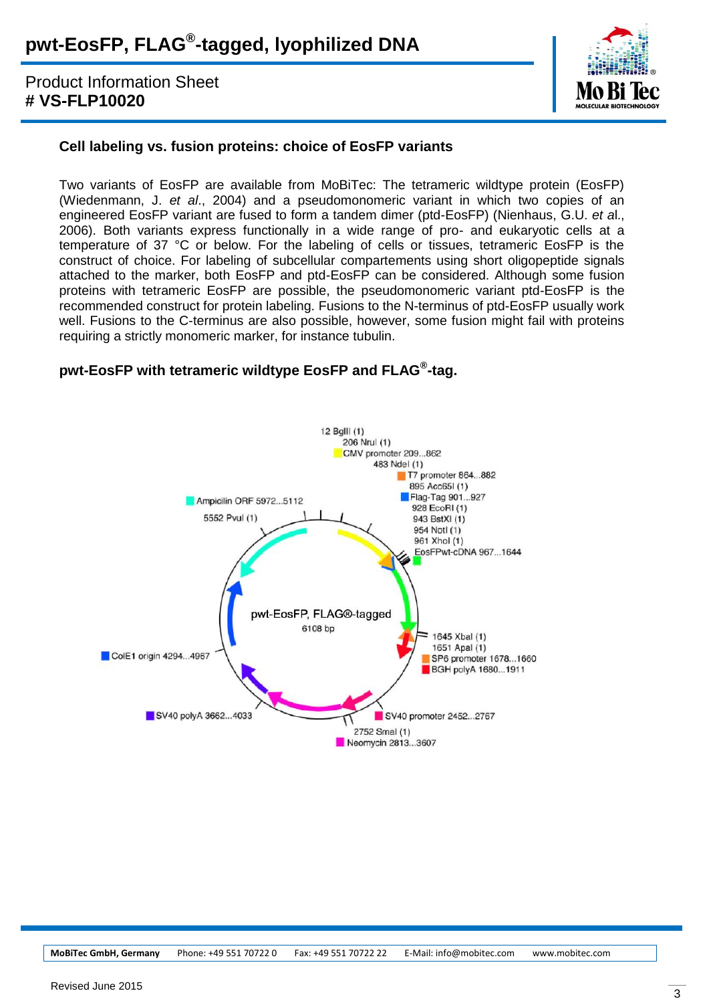# Product Information Sheet **# VS-FLP10020**



# **Cell labeling vs. fusion proteins: choice of EosFP variants**

Two variants of EosFP are available from MoBiTec: The tetrameric wildtype protein (EosFP) (Wiedenmann, J. *et al*., 2004) and a pseudomonomeric variant in which two copies of an engineered EosFP variant are fused to form a tandem dimer (ptd-EosFP) (Nienhaus, G.U. *et a*l., 2006). Both variants express functionally in a wide range of pro- and eukaryotic cells at a temperature of 37 °C or below. For the labeling of cells or tissues, tetrameric EosFP is the construct of choice. For labeling of subcellular compartements using short oligopeptide signals attached to the marker, both EosFP and ptd-EosFP can be considered. Although some fusion proteins with tetrameric EosFP are possible, the pseudomonomeric variant ptd-EosFP is the recommended construct for protein labeling. Fusions to the N-terminus of ptd-EosFP usually work well. Fusions to the C-terminus are also possible, however, some fusion might fail with proteins requiring a strictly monomeric marker, for instance tubulin.

# **pwt-EosFP with tetrameric wildtype EosFP and FLAG® -tag.**